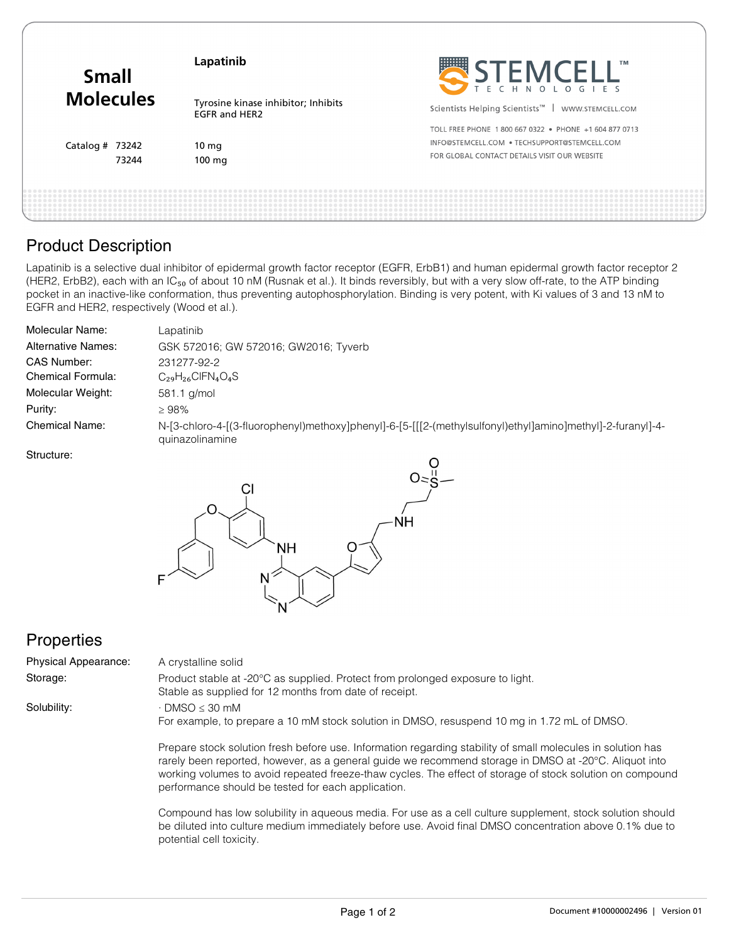| <b>Small</b><br><b>Molecules</b> | Lapatinib                                                   | SEEMCELL"                                                     |
|----------------------------------|-------------------------------------------------------------|---------------------------------------------------------------|
|                                  | Tyrosine kinase inhibitor; Inhibits<br><b>EGFR and HER2</b> | Scientists Helping Scientists <sup>™</sup>   WWW.STEMCELL.COM |
| Catalog # $73242$                |                                                             | TOLL FREE PHONE 1800 667 0322 . PHONE +1 604 877 0713         |
|                                  | $10 \text{ mg}$                                             | INFO@STEMCELL.COM . TECHSUPPORT@STEMCELL.COM                  |
| 73244                            | $100 \text{ mg}$                                            | FOR GLOBAL CONTACT DETAILS VISIT OUR WEBSITE                  |

### Product Description

Lapatinib is a selective dual inhibitor of epidermal growth factor receptor (EGFR, ErbB1) and human epidermal growth factor receptor 2 (HER2, ErbB2), each with an IC<sub>50</sub> of about 10 nM (Rusnak et al.). It binds reversibly, but with a very slow off-rate, to the ATP binding pocket in an inactive-like conformation, thus preventing autophosphorylation. Binding is very potent, with Ki values of 3 and 13 nM to EGFR and HER2, respectively (Wood et al.).

| Molecular Name:           | Lapatinib                                                                                                                     |
|---------------------------|-------------------------------------------------------------------------------------------------------------------------------|
| <b>Alternative Names:</b> | GSK 572016; GW 572016; GW2016; Tyverb                                                                                         |
| CAS Number:               | 231277-92-2                                                                                                                   |
| Chemical Formula:         | $C_{29}H_{26}CIFN_4O_4S$                                                                                                      |
| Molecular Weight:         | 581.1 g/mol                                                                                                                   |
| Purity:                   | >98%                                                                                                                          |
| <b>Chemical Name:</b>     | N-[3-chloro-4-[(3-fluorophenyl)methoxy]phenyl]-6-[5-[[[2-(methylsulfonyl)ethyl]amino]methyl]-2-furanyl]-4-<br>quinazolinamine |

Structure:



performance should be tested for each application.

# **Properties**

| <b>Physical Appearance:</b> | A crystalline solid                                                                                                                                                                                                                                                                                                               |
|-----------------------------|-----------------------------------------------------------------------------------------------------------------------------------------------------------------------------------------------------------------------------------------------------------------------------------------------------------------------------------|
| Storage:                    | Product stable at -20°C as supplied. Protect from prolonged exposure to light.<br>Stable as supplied for 12 months from date of receipt.                                                                                                                                                                                          |
| Solubility:                 | $\cdot$ DMSO $\leq$ 30 mM<br>For example, to prepare a 10 mM stock solution in DMSO, resuspend 10 mg in 1.72 mL of DMSO.                                                                                                                                                                                                          |
|                             | Prepare stock solution fresh before use. Information regarding stability of small molecules in solution has<br>rarely been reported, however, as a general quide we recommend storage in DMSO at -20°C. Aliquot into<br>working volumes to avoid repeated freeze-thaw cycles. The effect of storage of stock solution on compound |

Compound has low solubility in aqueous media. For use as a cell culture supplement, stock solution should be diluted into culture medium immediately before use. Avoid final DMSO concentration above 0.1% due to potential cell toxicity.